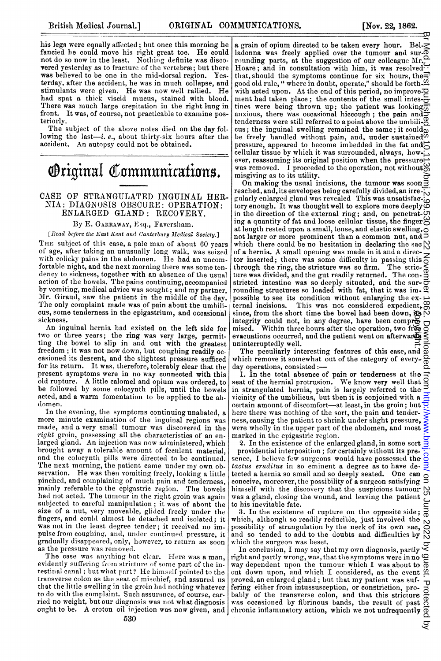his legs were equally affected; but once this morning he fancied he could move his right great toe. He could not do so now in the least. Nothing definite was disco**vered yesterday as to fracture of the vertebræ; but there** was believed to be one in the mid-dorsal region. Yes. was believed to be one in the mid-dorsal region. terday, after the accident, he was in much collapse, and stimulants were given. He was now well rallied. He had spat a thick viscid mucus, stained with blood.<br>There was much large crepitation in the right lung in front. It was, of course, not practicable to examine posteriorly.

The subject of the above notes died on the day following the last-i.  $e$ ., about thirty-six hours after the accident. An autopsy could not be obtained.

# **Original Communications.**

### CASE OF STRANGULATED INGUINAL HER, NIA: DIAGNOSIS OBSCURE: OPERATION: ENLARGED GLAND: RECOVERY.

#### By E. GARRAWAY, Esq., Faverslham.

[Rcad before the East Kent and Canterbury Medical Society.]

THE subject of this case, a pale man of about 60 years of age, after taking an unusually long walk, was seized with colicky pains in the abdomen. He had an uncomfortable night, and the next morning there was some tenlency to sickness, togetlher with an absence of the usual action of the bowels. The pains continuing, accompanied by vomiting, medical advice was sought; and my partner, Mr. Giraud, saw the patient in the middle of the day. The only complaint made was of pain about the umbilicus, some tenderness in the epigastrium, and occasional sickness.

An inguinal hernia had existed on the left side for two or three years; the ring was very large, permitting the bowel to slip in arid out with the greatest freedom; it was not now down, but coughing readily occasioned its descent, and the slightest pressure sufficed for its return. It was, therefore, tolerably clear that the present symptoms were in no way connected with this old rupture. A little calomel and opium was ordered, to be followed by some colocynth pills, until the bowels acted, and a warm fomentation to be applied to the abdomen.

In the evening, the symptoms continuing unabated, a more minute examination of the inguinal regions was made, and a very small tumour was discovered in the right groin, possessing all the characteristics of an enlarged gland. An injection was now administered, which brought away a tolerable amount of feculent material, and the colocynth pills were directed to be continued. The next morning, the patient came under my own observation. He was then vomiting freely, looking a little pinched, and complaining of much pain and tenderness, mainly referable to the epigastric region. The bowels had not acted. The tumour in the right groin was again subjected to careful manipulation; it was of about the size of a nut, very moveable, glided freely under the fingers, and could almost be detached and isolated; it was not in the least degree tender; it received no impulse from coughing, and, under continued pressure, it gradually disappeared, only, however, to return as soon as the pressure was removed.

The case was anything but clear. Here was a man, evidently suffering from stricture of some part of the intestinal canal ; but what part? He himself pointed to the transverse colon as the seat of misehief, and assured us that the little swelling in the groin had nothing whatever to do with the complaint. Such assurance, of course, carried no weight, but our diagnosis was not what diagnosis

a grain of opium directed to be taken every hour. Belladonna was freely applied over the tumour and sur- $\bar{\Phi}$ rounding parts, at the suggestion of our colleague Mr. Hoare; and in consultation with him, it was resolved. tlhat, should the symptoms continue for six hours, the good old rule, " where in doubt, operate," should be forth-with acted upon. At the end of this period, no improvement had taken place; the contents of the small intes- $\frac{1}{C}$ ment had taken place; the contents of the patient was looking $\overline{\overline{a}}$  these were being thrown up; the patient was looking anxious, there was occasional hiccough; the pain and tenderness were still referred to a point above the umbili-<sup>8</sup> cus; the inguinal swelling remained the same; it could $\overline{\omega}$ be freely handled without pain, and, under sustained  $\overline{\omega}$ pressure, appeared to become imbedded in the fat and cellular tissue by which it was surrounded, always, however, reassuming its original position when the pressure  $\rightarrow$ was removed. I proceeded to the operation, not without  $\mathfrak{S}$ misgiving as to its utility.

On making the usual incisions, the tumour was soon  $\bar{3}$ reached, and, its envelopes being carefully divided, an irregularly enlarged gland was revealed This was unsatisfactory enough. It was thought well to explore more deeply  $\infty$ in the direction of the external ring; and, on penetrating a quantity of fat and loose cellular tissue, the finger at length rested upon a small, tense, and elastic swelling,<br>not larger or more prominent than a common nut, and which there could be no hesitation in declaring the sac  $\mathbb{N}$ of <sup>a</sup> hernia. A small opening was made in it and <sup>a</sup> director inserted; there was some difficulty in passing this  $\epsilon$ through the ring, the stricture was so firm. The stric-ture was divided, and the gut readily returned. The constricted intestine was so deeply situated, and the sur- $\vec{\sigma}$ rounding structures so loaded with fat, that it was im- $\Phi$ possible to see its condition without enlarging the external incisions. This was not considered expedient, since, from the short time the bowel had been down,  $\overline{R}$  N integrity could not, in any degree, have been compr<del>o.</del><br>mised. Within three hours after the operation, two free evacuations occurred, and the patient went on afterwards  $\leq$ uninterruptedly well. copyright. ar Med J. tirst published as 10.1136.98.59 on 22 November 1862. Downloaded from <http://www.bmj.com/> on 25 June 2022 by guest. Protected by

The peculiarly interesting features of this case, and  $\Omega$ which remove it somewhat out of the category of every-

day operations, consisted:--<br>1. In the total absence of pain or tenderness at the 1. In the total absence of pain or tenderness at the seat of the hernial protrusion. We know very well that in strangulated hernia, pain is largely referred to the vicinity of the umbilicus, but then it is conjoined with  $\alpha$ . certain amount of discomfort-at least, in the groin; but  $\overline{5}$ here there was nothing of the sort, the pain and tenderness, causing the patient to shrink under slight pressure, were wholly in the upper part of the abdomen, and most marked in the epigastric region.

2. In the existence of the enlarged gland, in some sort providential interposition; for certainly without its presence, I believe few surgeons would have possessed the tactus eruditus in so eminent a degree as to have detected a hernia so small and so deeply seated. One can conceive, moreover, the possibility of a surgeon satisfying  $\Xi$ himself with the discovery that the suspicious tumour was a gland, closing the wound, and leaving the patient to his inevitable fate.

3. In the existence of rupture on the opposite side;  $\bar{\sigma}$ which, although so readily reducible, just involved the which, although so readily reductive, just involved the  $\beta$  possibility of strangulation by the neck of its own sac,  $\beta$ and so tended to add to the doubts and difficulties by which the surgeon was beset.

ought to be. A croton oil injection was now given, and chronic inflammatory action, which we not unfrequently In conclusion, I may say that my own diagnosis, partly right and partly wrong, was, that the symptoms were in no  $Q$ way dependent upon the tumour which I was about to  $\overline{6}$ cut down upon, and which I considered, as the event  $\mathfrak{A}$ proved, an enlarged gland; but that my patient was suffering either from intussusception, or constriction, probably of the transverse colon, and that this stricture was occasioned by fibrinous bands, the result of past

਼ੁ